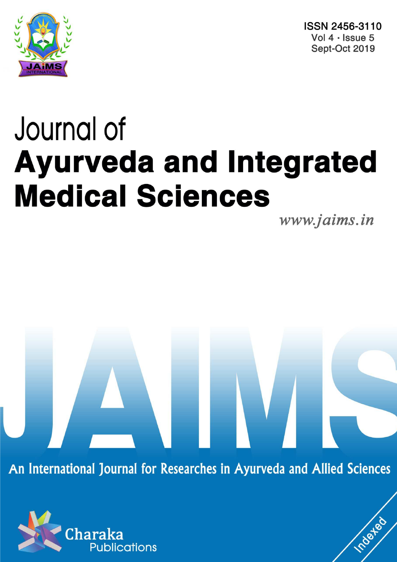

ISSN 2456-3110 Vol 4 · Issue 5 Sept-Oct 2019

# Journal of **Ayurveda and Integrated Medical Sciences**

www.jaims.in

Inderfed

An International Journal for Researches in Ayurveda and Allied Sciences

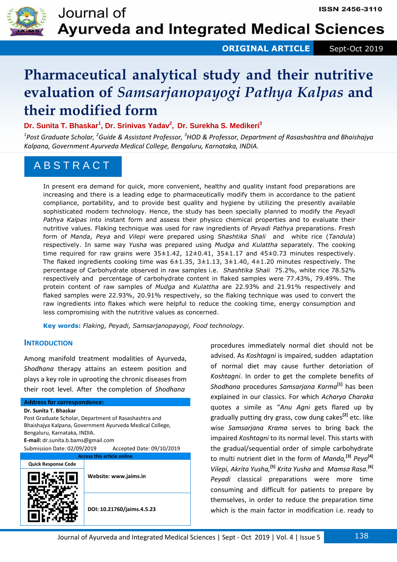

**ORIGINAL ARTICLE** Sept-Oct 2019

# **Pharmaceutical analytical study and their nutritive evaluation of** *Samsarjanopayogi Pathya Kalpas* **and their modified form**

# **Dr. Sunita T. Bhaskar<sup>1</sup> , Dr. Srinivas Yadav<sup>2</sup> , Dr. Surekha S. Medikeri<sup>3</sup>**

*1 Post Graduate Scholar, <sup>2</sup>Guide & Assistant Professor, <sup>3</sup>HOD & Professor, Department of Rasashashtra and Bhaishajya Kalpana, Government Ayurveda Medical College, Bengaluru, Karnataka, INDIA.* 

# A B S T R A C T

In present era demand for quick, more convenient, healthy and quality instant food preparations are increasing and there is a leading edge to pharmaceutically modify them in accordance to the patient compliance, portability, and to provide best quality and hygiene by utilizing the presently available sophisticated modern technology. Hence, the study has been specially planned to modify the *Peyadi Pathya Kalpas* into instant form and assess their physico chemical properties and to evaluate their nutritive values. Flaking technique was used for raw ingredients of *Peyadi Pathya* preparations. Fresh form of *Manda*, *Peya* and *Vilepi* were prepared using *Shashtika Shali* and white rice (*Tandula*) respectively. In same way *Yusha* was prepared using *Mudga* and *Kulattha* separately. The cooking time required for raw grains were  $35\pm1.42$ ,  $12\pm0.41$ ,  $35\pm1.17$  and  $45\pm0.73$  minutes respectively. The flaked ingredients cooking time was  $6\pm1.35$ ,  $3\pm1.13$ ,  $3\pm1.40$ ,  $4\pm1.20$  minutes respectively. The percentage of Carbohydrate observed in raw samples i.e. *Shashtika Shali* 75.2%, white rice 78.52% respectively and percentage of carbohydrate content in flaked samples were 77.43%, 79.49%. The protein content of raw samples of *Mudga* and *Kulattha* are 22.93% and 21.91% respectively and flaked samples were 22.93%, 20.91% respectively, so the flaking technique was used to convert the raw ingredients into flakes which were helpful to reduce the cooking time, energy consumption and less compromising with the nutritive values as concerned.

**Key words:** *Flaking, Peyadi, Samsarjanopayogi, Food technology.*

# **INTRODUCTION**

Among manifold treatment modalities of Ayurveda, *Shodhana* therapy attains an esteem position and plays a key role in uprooting the chronic diseases from their root level. After the completion of *Shodhana* 

# **Address for correspondence:**

**Dr. Sunita T. Bhaskar**  Post Graduate Scholar, Department of Rasashashtra and Bhaishajya Kalpana, Government Ayurveda Medical College, Bengaluru, Karnataka, INDIA. **E-mail:** dr.sunita.b.bams@gmail.com Submission Date: 02/09/2019 Accepted Date: 09/10/2019 **Access this article online**



procedures immediately normal diet should not be advised. As *Koshtagni* is impaired, sudden adaptation of normal diet may cause further detoriation of *Koshtagni*. In order to get the complete benefits of *Shodhana* procedures *Samsarjana Karma***[1]** has been explained in our classics. For which *Acharya Charaka*  quotes a simile as "*Anu Agni* gets flared up by gradually putting dry grass, cow dung cakes**[2]** etc. like wise *Samsarjana Krama* serves to bring back the impaired *Koshtagni* to its normal level. This starts with the gradual/sequential order of simple carbohydrate to multi nutrient diet in the form of *Manda,***[3]** *Peya***[4]** *Vilepi, Akrita Yusha,***[5]** *Krita Yusha* and *Mamsa Rasa.***[6]** *Peyadi* classical preparations were more time consuming and difficult for patients to prepare by themselves, in order to reduce the preparation time which is the main factor in modification i.e. ready to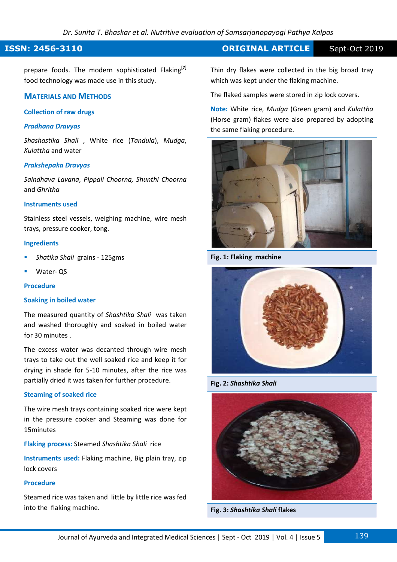# **ISSN: 2456-3110 CONSERVERTIGE Sept-Oct 2019**

prepare foods. The modern sophisticated Flaking**[7]** food technology was made use in this study.

# **MATERIALS AND METHODS**

# **Collection of raw drugs**

# *Pradhana Dravyas*

*Shashastika Shali* , White rice (*Tandula*), *Mudga*, *Kulattha* and water

# *Prakshepaka Dravyas*

*Saindhava Lavana*, *Pippali Choorna, Shunthi Choorna*  and *Ghritha* 

# **Instruments used**

Stainless steel vessels, weighing machine, wire mesh trays, pressure cooker, tong.

### **Ingredients**

- *Shatika Shali* grains 125gms
- Water- QS

# **Procedure**

# **Soaking in boiled water**

The measured quantity of *Shashtika Shali* was taken and washed thoroughly and soaked in boiled water for 30 minutes .

The excess water was decanted through wire mesh trays to take out the well soaked rice and keep it for drying in shade for 5-10 minutes, after the rice was partially dried it was taken for further procedure.

### **Steaming of soaked rice**

The wire mesh trays containing soaked rice were kept in the pressure cooker and Steaming was done for 15minutes

**Flaking process:** Steamed *Shashtika Shali* rice

**Instruments used:** Flaking machine, Big plain tray, zip lock covers

# **Procedure**

Steamed rice was taken and little by little rice was fed into the flaking machine.

Thin dry flakes were collected in the big broad tray which was kept under the flaking machine.

The flaked samples were stored in zip lock covers.

**Note:** White rice, *Mudga* (Green gram) and *Kulattha*  (Horse gram) flakes were also prepared by adopting the same flaking procedure.



**Fig. 1: Flaking machine** 



**Fig. 2:** *Shashtika Shali*



**Fig. 3:** *Shashtika Shali* **flakes**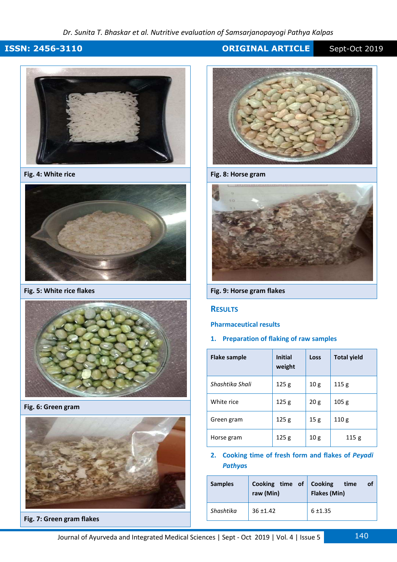# *Dr. Sunita T. Bhaskar et al. Nutritive evaluation of Samsarjanopayogi Pathya Kalpas*

# **ISSN: 2456-3110 CRIGINAL ARTICLE** Sept-Oct 2019



**Fig. 4: White rice**



**Fig. 5: White rice flakes**



**Fig. 6: Green gram** 



**Fig. 7: Green gram flakes** 



**Fig. 8: Horse gram** 



**Fig. 9: Horse gram flakes** 

# **RESULTS**

# **Pharmaceutical results**

# **1. Preparation of flaking of raw samples**

| Flake sample    | <b>Initial</b><br>weight | Loss | <b>Total yield</b> |  |
|-----------------|--------------------------|------|--------------------|--|
| Shashtika Shali | 125g                     | 10g  | 115 <sub>g</sub>   |  |
| White rice      | 125g                     | 20g  | 105 <sub>g</sub>   |  |
| Green gram      | 125g                     | 15g  | 110 <sub>g</sub>   |  |
| Horse gram      | 125 <sub>g</sub>         | 10g  | 115g               |  |

# **2. Cooking time of fresh form and flakes of** *Peyadi Pathya***s**

| <b>Samples</b> | Cooking time of Cooking<br>raw (Min) | time<br>οf<br><b>Flakes (Min)</b> |
|----------------|--------------------------------------|-----------------------------------|
| Shashtika      | $36 + 1.42$                          | $6 + 1.35$                        |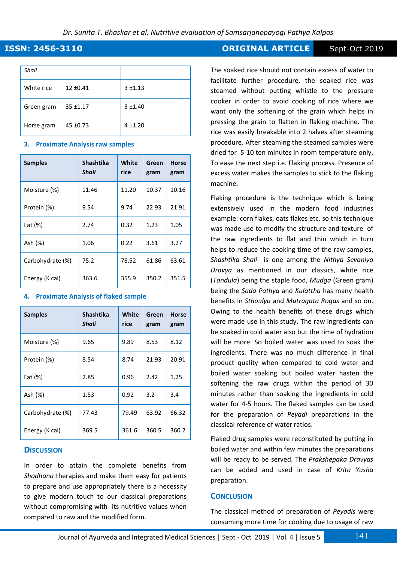| Shali      |               |            |
|------------|---------------|------------|
| White rice | $12 \pm 0.41$ | $3 + 1.13$ |
| Green gram | $35 + 1.17$   | $3 + 1.40$ |
| Horse gram | $45 \pm 0.73$ | $4 + 1.20$ |

# **3. Proximate Analysis raw samples**

| <b>Samples</b>   | Shashtika<br>Shali | White<br>rice | Green<br>gram | <b>Horse</b><br>gram |
|------------------|--------------------|---------------|---------------|----------------------|
| Moisture (%)     | 11.46              | 11.20         | 10.37         | 10.16                |
| Protein (%)      | 9.54               | 9.74          | 22.93         | 21.91                |
| Fat (%)          | 2.74               | 0.32          | 1.23          | 1.05                 |
| Ash (%)          | 1.06               | 0.22          | 3.61          | 3.27                 |
| Carbohydrate (%) | 75.2               | 78.52         | 61.86         | 63.61                |
| Energy (K cal)   | 363.6              | 355.9         | 350.2         | 351.5                |

# **4. Proximate Analysis of flaked sample**

| <b>Samples</b>   | <b>Shashtika</b><br>Shali | White<br>rice | Green<br>gram | <b>Horse</b><br>gram |
|------------------|---------------------------|---------------|---------------|----------------------|
| Moisture (%)     | 9.65                      | 9.89          | 8.53          | 8.12                 |
| Protein (%)      | 8.54                      | 8.74          | 21.93         | 20.91                |
| Fat (%)          | 2.85                      | 0.96          | 2.42          | 1.25                 |
| Ash (%)          | 1.53                      | 0.92          | 3.2           | 3.4                  |
| Carbohydrate (%) | 77.43                     | 79.49         | 63.92         | 66.32                |
| Energy (K cal)   | 369.5                     | 361.6         | 360.5         | 360.2                |

# **DISCUSSION**

In order to attain the complete benefits from *Shodhana* therapies and make them easy for patients to prepare and use appropriately there is a necessity to give modern touch to our classical preparations without compromising with its nutritive values when compared to raw and the modified form.

# **ISSN: 2456-3110 CONSERVERTIGE Sept-Oct 2019**

The soaked rice should not contain excess of water to facilitate further procedure, the soaked rice was steamed without putting whistle to the pressure cooker in order to avoid cooking of rice where we want only the softening of the grain which helps in pressing the grain to flatten in flaking machine. The rice was easily breakable into 2 halves after steaming procedure. After steaming the steamed samples were dried for 5-10 ten minutes in room temperature only. To ease the next step i.e. Flaking process. Presence of excess water makes the samples to stick to the flaking machine.

Flaking procedure is the technique which is being extensively used in the modern food industries example: corn flakes, oats flakes etc. so this technique was made use to modify the structure and texture of the raw ingredients to flat and thin which in turn helps to reduce the cooking time of the raw samples. *Shashtika Shali* is one among the *Nithya Sevaniya Dravya* as mentioned in our classics, white rice (*Tandula*) being the staple food, *Mudga* (Green gram) being the *Sada Pathya* and *Kulattha* has many health benefits in *Sthoulya* and *Mutragata Rogas* and so on. Owing to the health benefits of these drugs which were made use in this study. The raw ingredients can be soaked in cold water also but the time of hydration will be more. So boiled water was used to soak the ingredients. There was no much difference in final product quality when compared to cold water and boiled water soaking but boiled water hasten the softening the raw drugs within the period of 30 minutes rather than soaking the ingredients in cold water for 4-5 hours. The flaked samples can be used for the preparation of *Peyadi* preparations in the classical reference of water ratios.

Flaked drug samples were reconstituted by putting in boiled water and within few minutes the preparations will be ready to be served. The *Prakshepaka Dravyas*  can be added and used in case of *Krita Yusha* preparation.

# **CONCLUSION**

The classical method of preparation of *Peyadis* were consuming more time for cooking due to usage of raw